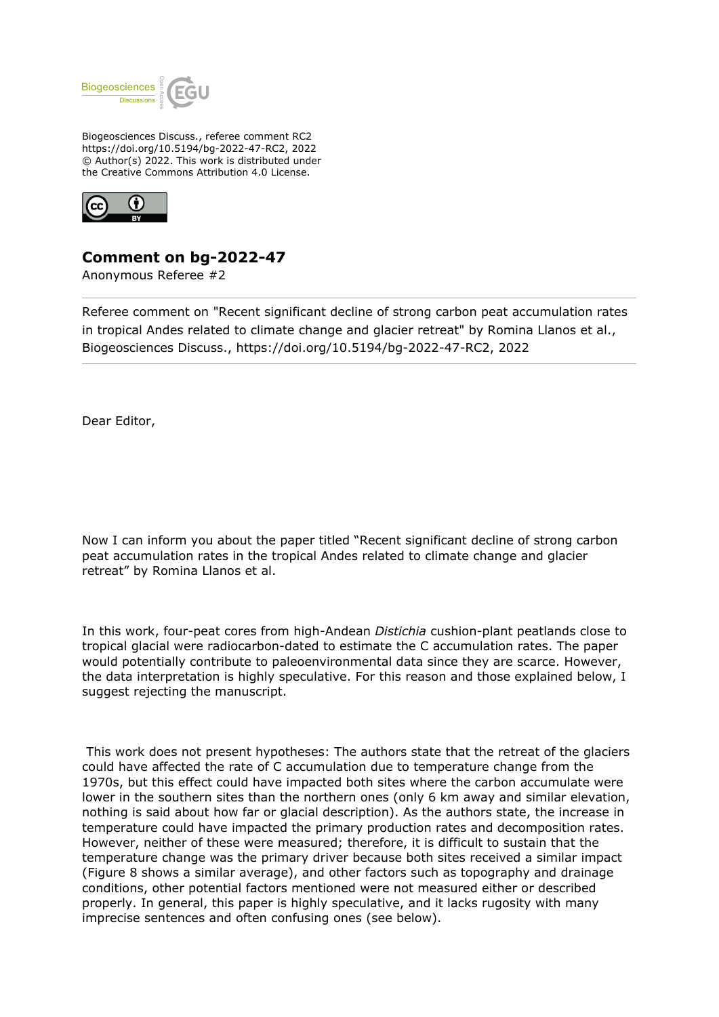

Biogeosciences Discuss., referee comment RC2 https://doi.org/10.5194/bg-2022-47-RC2, 2022 © Author(s) 2022. This work is distributed under the Creative Commons Attribution 4.0 License.



# **Comment on bg-2022-47**

Anonymous Referee #2

Referee comment on "Recent significant decline of strong carbon peat accumulation rates in tropical Andes related to climate change and glacier retreat" by Romina Llanos et al., Biogeosciences Discuss., https://doi.org/10.5194/bg-2022-47-RC2, 2022

Dear Editor,

Now I can inform you about the paper titled "Recent significant decline of strong carbon peat accumulation rates in the tropical Andes related to climate change and glacier retreat" by Romina Llanos et al.

In this work, four-peat cores from high-Andean *Distichia* cushion-plant peatlands close to tropical glacial were radiocarbon-dated to estimate the C accumulation rates. The paper would potentially contribute to paleoenvironmental data since they are scarce. However, the data interpretation is highly speculative. For this reason and those explained below, I suggest rejecting the manuscript.

This work does not present hypotheses: The authors state that the retreat of the glaciers could have affected the rate of C accumulation due to temperature change from the 1970s, but this effect could have impacted both sites where the carbon accumulate were lower in the southern sites than the northern ones (only 6 km away and similar elevation, nothing is said about how far or glacial description). As the authors state, the increase in temperature could have impacted the primary production rates and decomposition rates. However, neither of these were measured; therefore, it is difficult to sustain that the temperature change was the primary driver because both sites received a similar impact (Figure 8 shows a similar average), and other factors such as topography and drainage conditions, other potential factors mentioned were not measured either or described properly. In general, this paper is highly speculative, and it lacks rugosity with many imprecise sentences and often confusing ones (see below).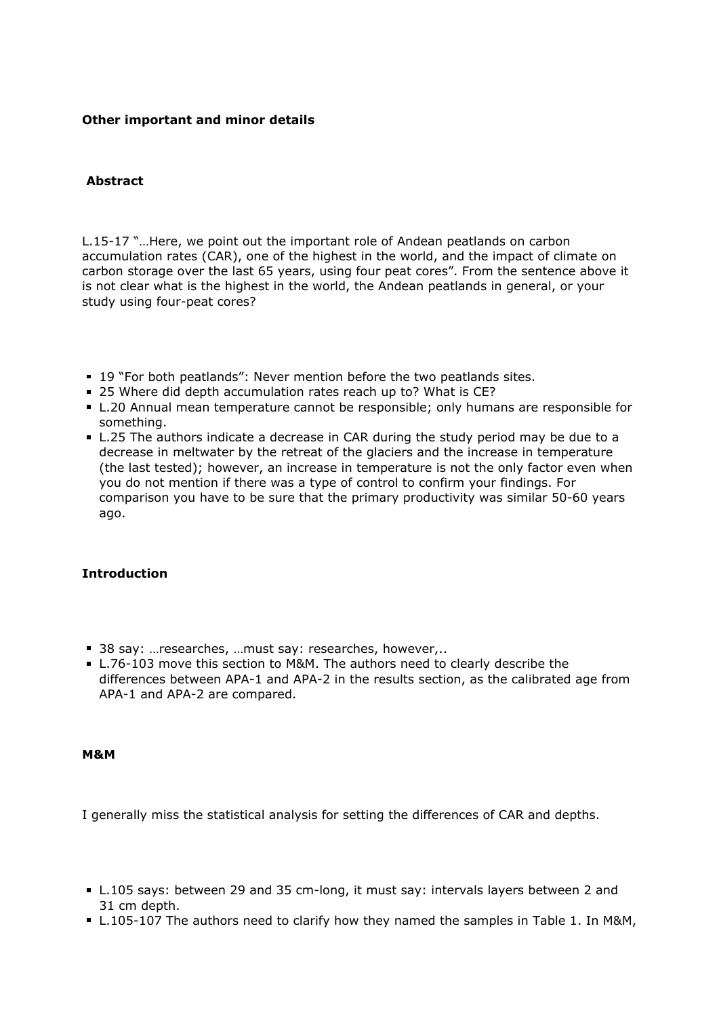## **Other important and minor details**

## **Abstract**

L.15-17 "…Here, we point out the important role of Andean peatlands on carbon accumulation rates (CAR), one of the highest in the world, and the impact of climate on carbon storage over the last 65 years, using four peat cores". From the sentence above it is not clear what is the highest in the world, the Andean peatlands in general, or your study using four-peat cores?

- 19 "For both peatlands": Never mention before the two peatlands sites.
- 25 Where did depth accumulation rates reach up to? What is CE?
- L.20 Annual mean temperature cannot be responsible; only humans are responsible for something.
- L.25 The authors indicate a decrease in CAR during the study period may be due to a decrease in meltwater by the retreat of the glaciers and the increase in temperature (the last tested); however, an increase in temperature is not the only factor even when you do not mention if there was a type of control to confirm your findings. For comparison you have to be sure that the primary productivity was similar 50-60 years ago.

# **Introduction**

- 38 say: ... researches, ... must say: researches, however,..
- L.76-103 move this section to M&M. The authors need to clearly describe the differences between APA-1 and APA-2 in the results section, as the calibrated age from APA-1 and APA-2 are compared.

#### **M&M**

I generally miss the statistical analysis for setting the differences of CAR and depths.

- L.105 says: between 29 and 35 cm-long, it must say: intervals layers between 2 and 31 cm depth.
- L.105-107 The authors need to clarify how they named the samples in Table 1. In M&M,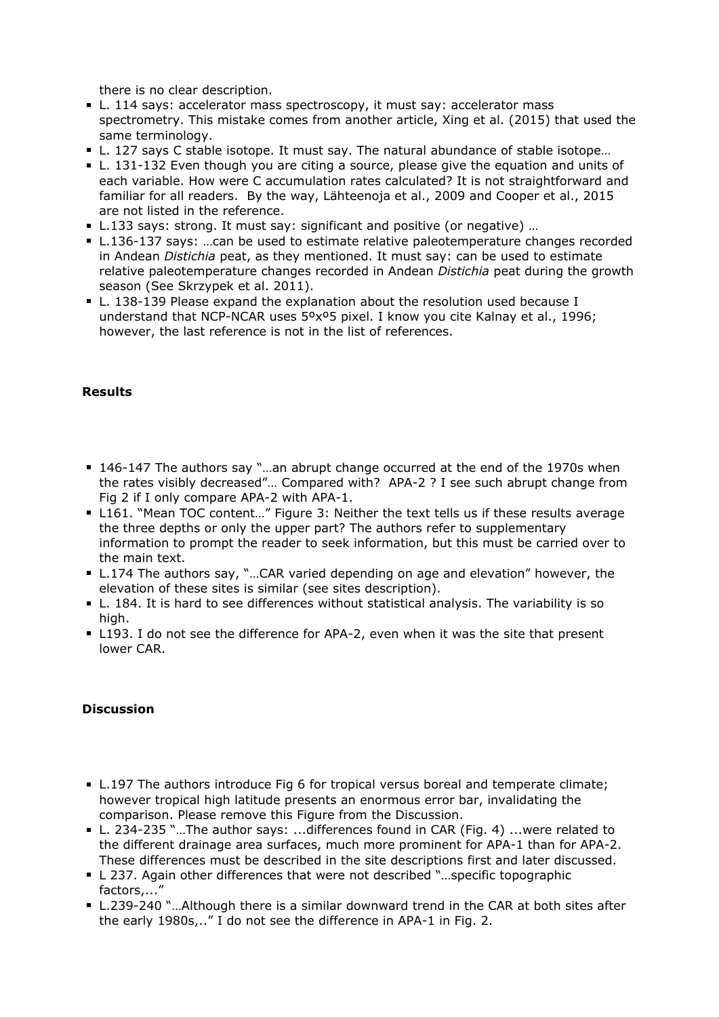there is no clear description.

- L. 114 says: accelerator mass spectroscopy, it must say: accelerator mass spectrometry. This mistake comes from another article, Xing et al. (2015) that used the same terminology.
- L. 127 says C stable isotope. It must say. The natural abundance of stable isotope...
- L. 131-132 Even though you are citing a source, please give the equation and units of each variable. How were C accumulation rates calculated? It is not straightforward and familiar for all readers. By the way, Lähteenoja et al., 2009 and Cooper et al., 2015 are not listed in the reference.
- L.133 says: strong. It must say: significant and positive (or negative) …
- L.136-137 says: …can be used to estimate relative paleotemperature changes recorded in Andean *Distichia* peat, as they mentioned. It must say: can be used to estimate relative paleotemperature changes recorded in Andean *Distichia* peat during the growth season (See Skrzypek et al. 2011).
- L. 138-139 Please expand the explanation about the resolution used because I understand that NCP-NCAR uses 5ºxº5 pixel. I know you cite Kalnay et al., 1996; however, the last reference is not in the list of references.

# **Results**

- 146-147 The authors say "...an abrupt change occurred at the end of the 1970s when the rates visibly decreased"… Compared with? APA-2 ? I see such abrupt change from Fig 2 if I only compare APA-2 with APA-1.
- L161. "Mean TOC content..." Figure 3: Neither the text tells us if these results average the three depths or only the upper part? The authors refer to supplementary information to prompt the reader to seek information, but this must be carried over to the main text.
- L.174 The authors say, "...CAR varied depending on age and elevation" however, the elevation of these sites is similar (see sites description).
- L. 184. It is hard to see differences without statistical analysis. The variability is so high.
- L193. I do not see the difference for APA-2, even when it was the site that present lower CAR.

### **Discussion**

- L.197 The authors introduce Fig 6 for tropical versus boreal and temperate climate; however tropical high latitude presents an enormous error bar, invalidating the comparison. Please remove this Figure from the Discussion.
- L. 234-235 "…The author says: ...differences found in CAR (Fig. 4) ...were related to the different drainage area surfaces, much more prominent for APA-1 than for APA-2. These differences must be described in the site descriptions first and later discussed.
- L 237. Again other differences that were not described "…specific topographic factors,..."
- L.239-240 "…Although there is a similar downward trend in the CAR at both sites after the early 1980s,.." I do not see the difference in APA-1 in Fig. 2.